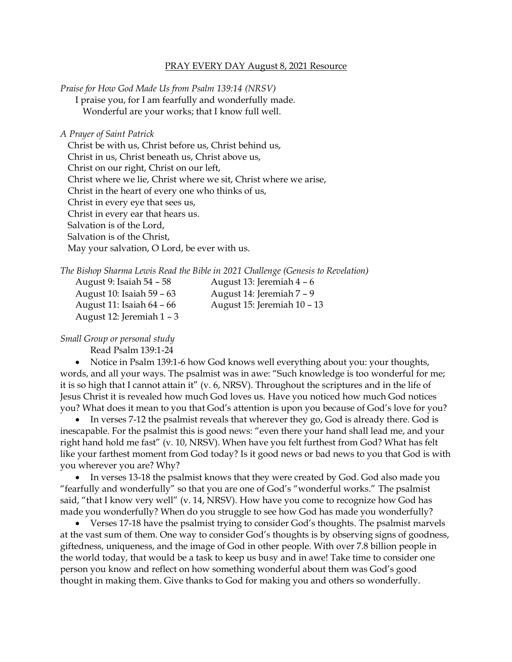## PRAY EVERY DAY August 8, 2021 Resource

*Praise for How God Made Us from Psalm 139:14 (NRSV)*

I praise you, for I am fearfully and wonderfully made. Wonderful are your works; that I know full well.

*A Prayer of Saint Patrick*

Christ be with us, Christ before us, Christ behind us, Christ in us, Christ beneath us, Christ above us, Christ on our right, Christ on our left, Christ where we lie, Christ where we sit, Christ where we arise, Christ in the heart of every one who thinks of us, Christ in every eye that sees us, Christ in every ear that hears us. Salvation is of the Lord, Salvation is of the Christ, May your salvation, O Lord, be ever with us.

|                                    | The Bishop Sharma Lewis Read the Bible in 2021 Challenge (Genesis to Revelation) |  |
|------------------------------------|----------------------------------------------------------------------------------|--|
| $\Delta$ 110112t Q. Isaiah 51 - 58 | August 13. Ioromiah $4-6$                                                        |  |

| August 9: Isaiah 54 – 58  | August 13: Jeremiah $4-6$   |
|---------------------------|-----------------------------|
| August 10: Isaiah 59 – 63 | August 14: Jeremiah 7 – 9   |
| August 11: Isaiah 64 – 66 | August 15: Jeremiah 10 - 13 |
| August 12: Jeremiah 1 – 3 |                             |

## *Small Group or personal study*

Read Psalm 139:1-24

• Notice in Psalm 139:1-6 how God knows well everything about you: your thoughts, words, and all your ways. The psalmist was in awe: "Such knowledge is too wonderful for me; it is so high that I cannot attain it" (v. 6, NRSV). Throughout the scriptures and in the life of Jesus Christ it is revealed how much God loves us. Have you noticed how much God notices you? What does it mean to you that God's attention is upon you because of God's love for you?

• In verses 7-12 the psalmist reveals that wherever they go, God is already there. God is inescapable. For the psalmist this is good news: "even there your hand shall lead me, and your right hand hold me fast" (v. 10, NRSV). When have you felt furthest from God? What has felt like your farthest moment from God today? Is it good news or bad news to you that God is with you wherever you are? Why?

• In verses 13-18 the psalmist knows that they were created by God. God also made you "fearfully and wonderfully" so that you are one of God's "wonderful works." The psalmist said, "that I know very well" (v. 14, NRSV). How have you come to recognize how God has made you wonderfully? When do you struggle to see how God has made you wonderfully?

• Verses 17-18 have the psalmist trying to consider God's thoughts. The psalmist marvels at the vast sum of them. One way to consider God's thoughts is by observing signs of goodness, giftedness, uniqueness, and the image of God in other people. With over 7.8 billion people in the world today, that would be a task to keep us busy and in awe! Take time to consider one person you know and reflect on how something wonderful about them was God's good thought in making them. Give thanks to God for making you and others so wonderfully.